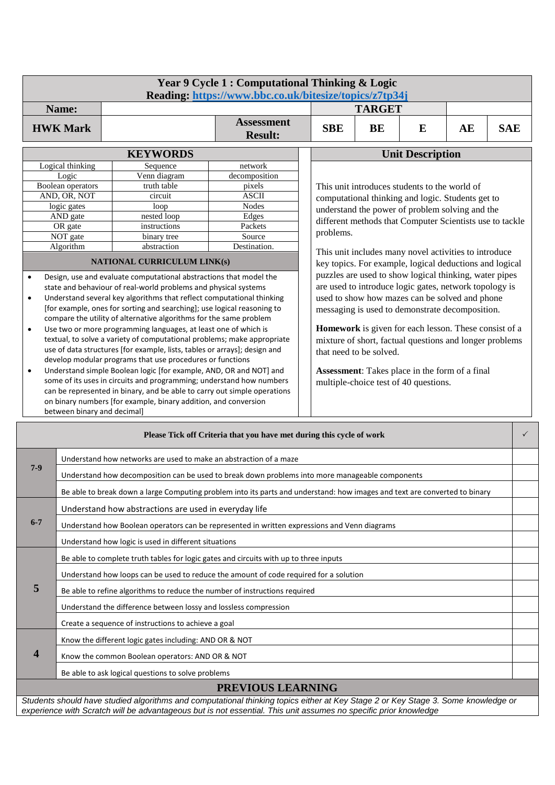|                                                                      |                                                                                                                                                  |                                                                                                                                       | Year 9 Cycle 1 : Computational Thinking & Logic<br>Reading: https://www.bbc.co.uk/bitesize/topics/z7tp34j |                                                |                                                                                                                                             |               |                                                          |    |            |              |  |  |
|----------------------------------------------------------------------|--------------------------------------------------------------------------------------------------------------------------------------------------|---------------------------------------------------------------------------------------------------------------------------------------|-----------------------------------------------------------------------------------------------------------|------------------------------------------------|---------------------------------------------------------------------------------------------------------------------------------------------|---------------|----------------------------------------------------------|----|------------|--------------|--|--|
|                                                                      | Name:                                                                                                                                            |                                                                                                                                       |                                                                                                           |                                                |                                                                                                                                             | <b>TARGET</b> |                                                          |    |            |              |  |  |
|                                                                      | <b>HWK Mark</b>                                                                                                                                  |                                                                                                                                       | <b>Assessment</b><br><b>Result:</b>                                                                       |                                                | <b>SBE</b>                                                                                                                                  | <b>BE</b>     | E                                                        | AE | <b>SAE</b> |              |  |  |
|                                                                      |                                                                                                                                                  | <b>KEYWORDS</b>                                                                                                                       |                                                                                                           |                                                | <b>Unit Description</b>                                                                                                                     |               |                                                          |    |            |              |  |  |
|                                                                      | Logical thinking                                                                                                                                 | Sequence                                                                                                                              | network                                                                                                   |                                                |                                                                                                                                             |               |                                                          |    |            |              |  |  |
|                                                                      | Logic                                                                                                                                            | Venn diagram                                                                                                                          | decomposition                                                                                             |                                                |                                                                                                                                             |               |                                                          |    |            |              |  |  |
|                                                                      | Boolean operators<br>AND, OR, NOT                                                                                                                | truth table<br>circuit                                                                                                                | pixels<br><b>ASCII</b>                                                                                    |                                                | This unit introduces students to the world of                                                                                               |               |                                                          |    |            |              |  |  |
|                                                                      | logic gates                                                                                                                                      | computational thinking and logic. Students get to<br><b>Nodes</b><br>loop<br>understand the power of problem solving and the          |                                                                                                           |                                                |                                                                                                                                             |               |                                                          |    |            |              |  |  |
|                                                                      | AND gate                                                                                                                                         | nested loop                                                                                                                           | Edges                                                                                                     |                                                |                                                                                                                                             |               |                                                          |    |            |              |  |  |
|                                                                      | OR gate                                                                                                                                          | instructions                                                                                                                          | Packets                                                                                                   |                                                | problems.                                                                                                                                   |               | different methods that Computer Scientists use to tackle |    |            |              |  |  |
|                                                                      | NOT gate                                                                                                                                         | binary tree                                                                                                                           | Source                                                                                                    |                                                |                                                                                                                                             |               |                                                          |    |            |              |  |  |
|                                                                      | Algorithm                                                                                                                                        | abstraction                                                                                                                           | Destination.                                                                                              |                                                |                                                                                                                                             |               | This unit includes many novel activities to introduce    |    |            |              |  |  |
|                                                                      |                                                                                                                                                  | NATIONAL CURRICULUM LINK(s)                                                                                                           |                                                                                                           |                                                |                                                                                                                                             |               | key topics. For example, logical deductions and logical  |    |            |              |  |  |
| $\bullet$                                                            |                                                                                                                                                  | Design, use and evaluate computational abstractions that model the                                                                    |                                                                                                           |                                                |                                                                                                                                             |               | puzzles are used to show logical thinking, water pipes   |    |            |              |  |  |
|                                                                      |                                                                                                                                                  | state and behaviour of real-world problems and physical systems                                                                       |                                                                                                           |                                                | are used to introduce logic gates, network topology is                                                                                      |               |                                                          |    |            |              |  |  |
| $\bullet$                                                            |                                                                                                                                                  | Understand several key algorithms that reflect computational thinking                                                                 |                                                                                                           |                                                |                                                                                                                                             |               | used to show how mazes can be solved and phone           |    |            |              |  |  |
|                                                                      |                                                                                                                                                  | [for example, ones for sorting and searching]; use logical reasoning to                                                               |                                                                                                           |                                                |                                                                                                                                             |               | messaging is used to demonstrate decomposition.          |    |            |              |  |  |
| $\bullet$                                                            |                                                                                                                                                  | compare the utility of alternative algorithms for the same problem<br>Use two or more programming languages, at least one of which is |                                                                                                           |                                                |                                                                                                                                             |               |                                                          |    |            |              |  |  |
|                                                                      |                                                                                                                                                  | textual, to solve a variety of computational problems; make appropriate                                                               |                                                                                                           |                                                | Homework is given for each lesson. These consist of a<br>mixture of short, factual questions and longer problems<br>that need to be solved. |               |                                                          |    |            |              |  |  |
|                                                                      |                                                                                                                                                  | use of data structures [for example, lists, tables or arrays]; design and                                                             |                                                                                                           |                                                |                                                                                                                                             |               |                                                          |    |            |              |  |  |
| develop modular programs that use procedures or functions            |                                                                                                                                                  |                                                                                                                                       |                                                                                                           |                                                |                                                                                                                                             |               |                                                          |    |            |              |  |  |
| $\bullet$                                                            |                                                                                                                                                  | Understand simple Boolean logic [for example, AND, OR and NOT] and                                                                    |                                                                                                           | Assessment: Takes place in the form of a final |                                                                                                                                             |               |                                                          |    |            |              |  |  |
|                                                                      | some of its uses in circuits and programming; understand how numbers<br>can be represented in binary, and be able to carry out simple operations |                                                                                                                                       |                                                                                                           |                                                |                                                                                                                                             |               | multiple-choice test of 40 questions.                    |    |            |              |  |  |
|                                                                      |                                                                                                                                                  |                                                                                                                                       |                                                                                                           |                                                |                                                                                                                                             |               |                                                          |    |            |              |  |  |
|                                                                      | on binary numbers [for example, binary addition, and conversion<br>between binary and decimal]                                                   |                                                                                                                                       |                                                                                                           |                                                |                                                                                                                                             |               |                                                          |    |            |              |  |  |
| Please Tick off Criteria that you have met during this cycle of work |                                                                                                                                                  |                                                                                                                                       |                                                                                                           |                                                |                                                                                                                                             |               |                                                          |    |            | $\checkmark$ |  |  |
|                                                                      |                                                                                                                                                  |                                                                                                                                       |                                                                                                           |                                                |                                                                                                                                             |               |                                                          |    |            |              |  |  |
| $7-9$                                                                |                                                                                                                                                  | Understand how networks are used to make an abstraction of a maze                                                                     |                                                                                                           |                                                |                                                                                                                                             |               |                                                          |    |            |              |  |  |
|                                                                      |                                                                                                                                                  | Understand how decomposition can be used to break down problems into more manageable components                                       |                                                                                                           |                                                |                                                                                                                                             |               |                                                          |    |            |              |  |  |
|                                                                      |                                                                                                                                                  | Be able to break down a large Computing problem into its parts and understand: how images and text are converted to binary            |                                                                                                           |                                                |                                                                                                                                             |               |                                                          |    |            |              |  |  |
|                                                                      |                                                                                                                                                  | Understand how abstractions are used in everyday life                                                                                 |                                                                                                           |                                                |                                                                                                                                             |               |                                                          |    |            |              |  |  |
| $6 - 7$                                                              |                                                                                                                                                  | Understand how Boolean operators can be represented in written expressions and Venn diagrams                                          |                                                                                                           |                                                |                                                                                                                                             |               |                                                          |    |            |              |  |  |
|                                                                      |                                                                                                                                                  | Understand how logic is used in different situations                                                                                  |                                                                                                           |                                                |                                                                                                                                             |               |                                                          |    |            |              |  |  |
|                                                                      |                                                                                                                                                  | Be able to complete truth tables for logic gates and circuits with up to three inputs                                                 |                                                                                                           |                                                |                                                                                                                                             |               |                                                          |    |            |              |  |  |
|                                                                      |                                                                                                                                                  | Understand how loops can be used to reduce the amount of code required for a solution                                                 |                                                                                                           |                                                |                                                                                                                                             |               |                                                          |    |            |              |  |  |
| 5                                                                    |                                                                                                                                                  | Be able to refine algorithms to reduce the number of instructions required                                                            |                                                                                                           |                                                |                                                                                                                                             |               |                                                          |    |            |              |  |  |
|                                                                      |                                                                                                                                                  | Understand the difference between lossy and lossless compression                                                                      |                                                                                                           |                                                |                                                                                                                                             |               |                                                          |    |            |              |  |  |
|                                                                      |                                                                                                                                                  | Create a sequence of instructions to achieve a goal                                                                                   |                                                                                                           |                                                |                                                                                                                                             |               |                                                          |    |            |              |  |  |
|                                                                      |                                                                                                                                                  | Know the different logic gates including: AND OR & NOT                                                                                |                                                                                                           |                                                |                                                                                                                                             |               |                                                          |    |            |              |  |  |
| 4                                                                    | Know the common Boolean operators: AND OR & NOT                                                                                                  |                                                                                                                                       |                                                                                                           |                                                |                                                                                                                                             |               |                                                          |    |            |              |  |  |
|                                                                      | Be able to ask logical questions to solve problems                                                                                               |                                                                                                                                       |                                                                                                           |                                                |                                                                                                                                             |               |                                                          |    |            |              |  |  |

**PREVIOUS LEARNING**

*Students should have studied algorithms and computational thinking topics either at Key Stage 2 or Key Stage 3. Some knowledge or experience with Scratch will be advantageous but is not essential. This unit assumes no specific prior knowledge*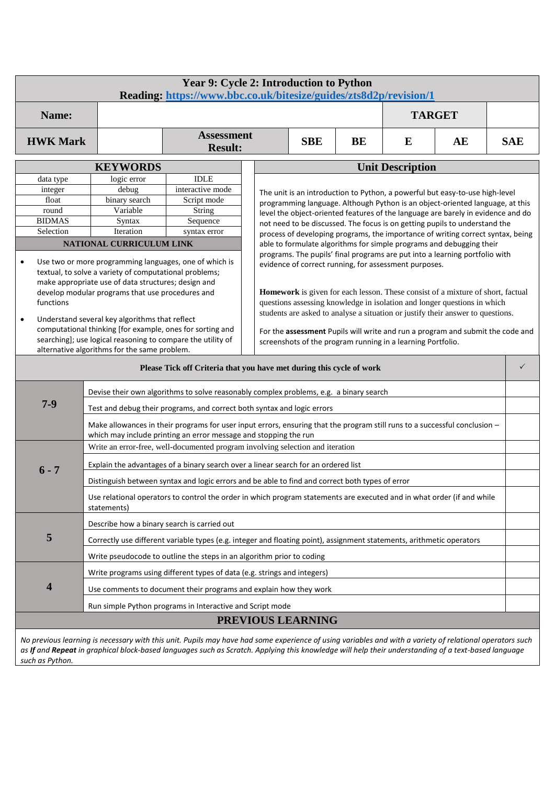| Year 9: Cycle 2: Introduction to Python<br>Reading: https://www.bbc.co.uk/bitesize/guides/zts8d2p/revision/1                          |                                                                                                                                                                                                                                                                                                                                                         |                                                                                                                                                                                                                                                                                                                                                                                                                                                                                                                                         |                                                                                  |                                                                                                                                                               |            |  |                                                                      |              |  |  |
|---------------------------------------------------------------------------------------------------------------------------------------|---------------------------------------------------------------------------------------------------------------------------------------------------------------------------------------------------------------------------------------------------------------------------------------------------------------------------------------------------------|-----------------------------------------------------------------------------------------------------------------------------------------------------------------------------------------------------------------------------------------------------------------------------------------------------------------------------------------------------------------------------------------------------------------------------------------------------------------------------------------------------------------------------------------|----------------------------------------------------------------------------------|---------------------------------------------------------------------------------------------------------------------------------------------------------------|------------|--|----------------------------------------------------------------------|--------------|--|--|
| Name:                                                                                                                                 |                                                                                                                                                                                                                                                                                                                                                         |                                                                                                                                                                                                                                                                                                                                                                                                                                                                                                                                         |                                                                                  |                                                                                                                                                               |            |  | <b>TARGET</b>                                                        |              |  |  |
|                                                                                                                                       | <b>Assessment</b><br><b>HWK Mark</b><br><b>SBE</b><br>BE<br>E<br>AE<br><b>Result:</b>                                                                                                                                                                                                                                                                   |                                                                                                                                                                                                                                                                                                                                                                                                                                                                                                                                         |                                                                                  |                                                                                                                                                               | <b>SAE</b> |  |                                                                      |              |  |  |
|                                                                                                                                       | <b>KEYWORDS</b>                                                                                                                                                                                                                                                                                                                                         |                                                                                                                                                                                                                                                                                                                                                                                                                                                                                                                                         | <b>Unit Description</b>                                                          |                                                                                                                                                               |            |  |                                                                      |              |  |  |
| data type                                                                                                                             |                                                                                                                                                                                                                                                                                                                                                         |                                                                                                                                                                                                                                                                                                                                                                                                                                                                                                                                         |                                                                                  |                                                                                                                                                               |            |  |                                                                      |              |  |  |
| integer                                                                                                                               | interactive mode<br>debug                                                                                                                                                                                                                                                                                                                               |                                                                                                                                                                                                                                                                                                                                                                                                                                                                                                                                         |                                                                                  | The unit is an introduction to Python, a powerful but easy-to-use high-level                                                                                  |            |  |                                                                      |              |  |  |
|                                                                                                                                       | float<br>binary search<br>Script mode                                                                                                                                                                                                                                                                                                                   |                                                                                                                                                                                                                                                                                                                                                                                                                                                                                                                                         | programming language. Although Python is an object-oriented language, at this    |                                                                                                                                                               |            |  |                                                                      |              |  |  |
| round<br><b>BIDMAS</b>                                                                                                                | Variable                                                                                                                                                                                                                                                                                                                                                | String                                                                                                                                                                                                                                                                                                                                                                                                                                                                                                                                  | level the object-oriented features of the language are barely in evidence and do |                                                                                                                                                               |            |  |                                                                      |              |  |  |
| Selection                                                                                                                             | Syntax<br>Iteration                                                                                                                                                                                                                                                                                                                                     | Sequence<br>syntax error                                                                                                                                                                                                                                                                                                                                                                                                                                                                                                                |                                                                                  | not need to be discussed. The focus is on getting pupils to understand the<br>process of developing programs, the importance of writing correct syntax, being |            |  |                                                                      |              |  |  |
|                                                                                                                                       | NATIONAL CURRICULUM LINK                                                                                                                                                                                                                                                                                                                                |                                                                                                                                                                                                                                                                                                                                                                                                                                                                                                                                         |                                                                                  |                                                                                                                                                               |            |  | able to formulate algorithms for simple programs and debugging their |              |  |  |
| $\bullet$<br>functions<br>Understand several key algorithms that reflect<br>$\bullet$<br>alternative algorithms for the same problem. | Use two or more programming languages, one of which is<br>textual, to solve a variety of computational problems;<br>make appropriate use of data structures; design and<br>develop modular programs that use procedures and<br>computational thinking [for example, ones for sorting and<br>searching]; use logical reasoning to compare the utility of | programs. The pupils' final programs are put into a learning portfolio with<br>evidence of correct running, for assessment purposes.<br>Homework is given for each lesson. These consist of a mixture of short, factual<br>questions assessing knowledge in isolation and longer questions in which<br>students are asked to analyse a situation or justify their answer to questions.<br>For the assessment Pupils will write and run a program and submit the code and<br>screenshots of the program running in a learning Portfolio. |                                                                                  |                                                                                                                                                               |            |  |                                                                      |              |  |  |
|                                                                                                                                       |                                                                                                                                                                                                                                                                                                                                                         | Please Tick off Criteria that you have met during this cycle of work                                                                                                                                                                                                                                                                                                                                                                                                                                                                    |                                                                                  |                                                                                                                                                               |            |  |                                                                      | $\checkmark$ |  |  |
|                                                                                                                                       | Devise their own algorithms to solve reasonably complex problems, e.g. a binary search                                                                                                                                                                                                                                                                  |                                                                                                                                                                                                                                                                                                                                                                                                                                                                                                                                         |                                                                                  |                                                                                                                                                               |            |  |                                                                      |              |  |  |
| $7 - 9$                                                                                                                               |                                                                                                                                                                                                                                                                                                                                                         | Test and debug their programs, and correct both syntax and logic errors                                                                                                                                                                                                                                                                                                                                                                                                                                                                 |                                                                                  |                                                                                                                                                               |            |  |                                                                      |              |  |  |
|                                                                                                                                       | Make allowances in their programs for user input errors, ensuring that the program still runs to a successful conclusion -<br>which may include printing an error message and stopping the run                                                                                                                                                          |                                                                                                                                                                                                                                                                                                                                                                                                                                                                                                                                         |                                                                                  |                                                                                                                                                               |            |  |                                                                      |              |  |  |
|                                                                                                                                       | Write an error-free, well-documented program involving selection and iteration                                                                                                                                                                                                                                                                          |                                                                                                                                                                                                                                                                                                                                                                                                                                                                                                                                         |                                                                                  |                                                                                                                                                               |            |  |                                                                      |              |  |  |
| $6 - 7$                                                                                                                               |                                                                                                                                                                                                                                                                                                                                                         | Explain the advantages of a binary search over a linear search for an ordered list                                                                                                                                                                                                                                                                                                                                                                                                                                                      |                                                                                  |                                                                                                                                                               |            |  |                                                                      |              |  |  |
|                                                                                                                                       |                                                                                                                                                                                                                                                                                                                                                         | Distinguish between syntax and logic errors and be able to find and correct both types of error                                                                                                                                                                                                                                                                                                                                                                                                                                         |                                                                                  |                                                                                                                                                               |            |  |                                                                      |              |  |  |
|                                                                                                                                       | Use relational operators to control the order in which program statements are executed and in what order (if and while<br>statements)                                                                                                                                                                                                                   |                                                                                                                                                                                                                                                                                                                                                                                                                                                                                                                                         |                                                                                  |                                                                                                                                                               |            |  |                                                                      |              |  |  |
|                                                                                                                                       | Describe how a binary search is carried out                                                                                                                                                                                                                                                                                                             |                                                                                                                                                                                                                                                                                                                                                                                                                                                                                                                                         |                                                                                  |                                                                                                                                                               |            |  |                                                                      |              |  |  |
| 5                                                                                                                                     |                                                                                                                                                                                                                                                                                                                                                         | Correctly use different variable types (e.g. integer and floating point), assignment statements, arithmetic operators                                                                                                                                                                                                                                                                                                                                                                                                                   |                                                                                  |                                                                                                                                                               |            |  |                                                                      |              |  |  |
|                                                                                                                                       |                                                                                                                                                                                                                                                                                                                                                         | Write pseudocode to outline the steps in an algorithm prior to coding                                                                                                                                                                                                                                                                                                                                                                                                                                                                   |                                                                                  |                                                                                                                                                               |            |  |                                                                      |              |  |  |
|                                                                                                                                       |                                                                                                                                                                                                                                                                                                                                                         | Write programs using different types of data (e.g. strings and integers)                                                                                                                                                                                                                                                                                                                                                                                                                                                                |                                                                                  |                                                                                                                                                               |            |  |                                                                      |              |  |  |
| 4                                                                                                                                     |                                                                                                                                                                                                                                                                                                                                                         | Use comments to document their programs and explain how they work                                                                                                                                                                                                                                                                                                                                                                                                                                                                       |                                                                                  |                                                                                                                                                               |            |  |                                                                      |              |  |  |
|                                                                                                                                       | Run simple Python programs in Interactive and Script mode                                                                                                                                                                                                                                                                                               |                                                                                                                                                                                                                                                                                                                                                                                                                                                                                                                                         |                                                                                  |                                                                                                                                                               |            |  |                                                                      |              |  |  |
|                                                                                                                                       |                                                                                                                                                                                                                                                                                                                                                         |                                                                                                                                                                                                                                                                                                                                                                                                                                                                                                                                         |                                                                                  | PREVIOUS LEARNING                                                                                                                                             |            |  |                                                                      |              |  |  |
|                                                                                                                                       |                                                                                                                                                                                                                                                                                                                                                         | No previous learning is necessary with this unit. Pupils may have had some experience of using variables and with a variety of relational operators such<br>as If and Repeat in graphical block-based languages such as Scratch. Applying this knowledge will help their understanding of a text-based language                                                                                                                                                                                                                         |                                                                                  |                                                                                                                                                               |            |  |                                                                      |              |  |  |

*such as Python.*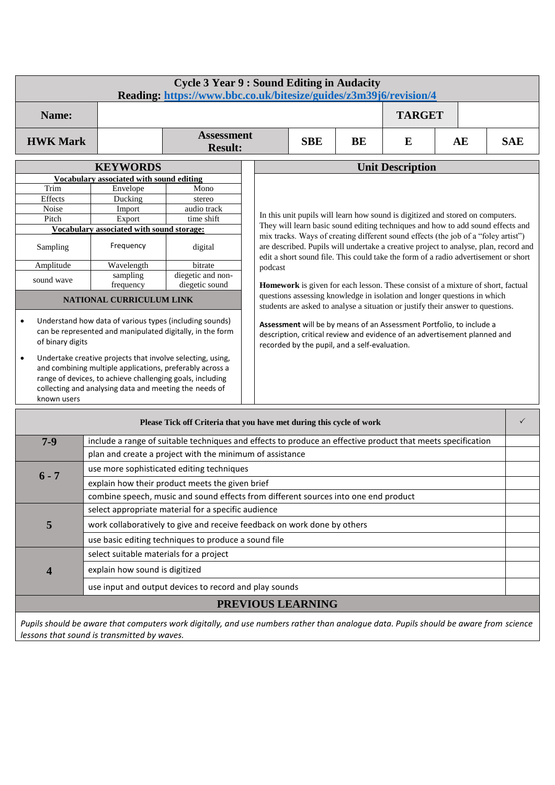|                                                   | <b>Cycle 3 Year 9: Sound Editing in Audacity</b><br>Reading: https://www.bbc.co.uk/bitesize/guides/z3m39j6/revision/4                                                                                                                                                                                                                                                 |                                                                                                             |                                                                                                                                                                                                    |  |  |                                                                                                                                                                             |  |   |  |  |
|---------------------------------------------------|-----------------------------------------------------------------------------------------------------------------------------------------------------------------------------------------------------------------------------------------------------------------------------------------------------------------------------------------------------------------------|-------------------------------------------------------------------------------------------------------------|----------------------------------------------------------------------------------------------------------------------------------------------------------------------------------------------------|--|--|-----------------------------------------------------------------------------------------------------------------------------------------------------------------------------|--|---|--|--|
| Name:                                             |                                                                                                                                                                                                                                                                                                                                                                       |                                                                                                             |                                                                                                                                                                                                    |  |  | <b>TARGET</b>                                                                                                                                                               |  |   |  |  |
| <b>HWK Mark</b>                                   |                                                                                                                                                                                                                                                                                                                                                                       | <b>Assessment</b><br><b>Result:</b>                                                                         | <b>SBE</b><br><b>SAE</b><br>BE<br>E<br>AE                                                                                                                                                          |  |  |                                                                                                                                                                             |  |   |  |  |
|                                                   | <b>KEYWORDS</b>                                                                                                                                                                                                                                                                                                                                                       |                                                                                                             |                                                                                                                                                                                                    |  |  | <b>Unit Description</b>                                                                                                                                                     |  |   |  |  |
|                                                   | Vocabulary associated with sound editing                                                                                                                                                                                                                                                                                                                              |                                                                                                             |                                                                                                                                                                                                    |  |  |                                                                                                                                                                             |  |   |  |  |
| Trim                                              | Envelope                                                                                                                                                                                                                                                                                                                                                              | Mono                                                                                                        |                                                                                                                                                                                                    |  |  |                                                                                                                                                                             |  |   |  |  |
| Effects                                           | Ducking                                                                                                                                                                                                                                                                                                                                                               | stereo                                                                                                      |                                                                                                                                                                                                    |  |  |                                                                                                                                                                             |  |   |  |  |
| Noise                                             | Import                                                                                                                                                                                                                                                                                                                                                                | audio track                                                                                                 |                                                                                                                                                                                                    |  |  | In this unit pupils will learn how sound is digitized and stored on computers.                                                                                              |  |   |  |  |
| Pitch                                             | Export                                                                                                                                                                                                                                                                                                                                                                | time shift                                                                                                  |                                                                                                                                                                                                    |  |  | They will learn basic sound editing techniques and how to add sound effects and                                                                                             |  |   |  |  |
|                                                   | Vocabulary associated with sound storage:                                                                                                                                                                                                                                                                                                                             |                                                                                                             |                                                                                                                                                                                                    |  |  | mix tracks. Ways of creating different sound effects (the job of a "foley artist")                                                                                          |  |   |  |  |
| Sampling                                          | Frequency                                                                                                                                                                                                                                                                                                                                                             | digital                                                                                                     |                                                                                                                                                                                                    |  |  | are described. Pupils will undertake a creative project to analyse, plan, record and<br>edit a short sound file. This could take the form of a radio advertisement or short |  |   |  |  |
| Amplitude                                         | Wavelength                                                                                                                                                                                                                                                                                                                                                            | bitrate                                                                                                     | podcast                                                                                                                                                                                            |  |  |                                                                                                                                                                             |  |   |  |  |
|                                                   | sampling                                                                                                                                                                                                                                                                                                                                                              | diegetic and non-                                                                                           |                                                                                                                                                                                                    |  |  |                                                                                                                                                                             |  |   |  |  |
| sound wave                                        | frequency                                                                                                                                                                                                                                                                                                                                                             | diegetic sound                                                                                              |                                                                                                                                                                                                    |  |  | Homework is given for each lesson. These consist of a mixture of short, factual                                                                                             |  |   |  |  |
|                                                   | NATIONAL CURRICULUM LINK                                                                                                                                                                                                                                                                                                                                              |                                                                                                             |                                                                                                                                                                                                    |  |  | questions assessing knowledge in isolation and longer questions in which<br>students are asked to analyse a situation or justify their answer to questions.                 |  |   |  |  |
| ٠<br>of binary digits<br>$\bullet$<br>known users | Understand how data of various types (including sounds)<br>can be represented and manipulated digitally, in the form<br>Undertake creative projects that involve selecting, using,<br>and combining multiple applications, preferably across a<br>range of devices, to achieve challenging goals, including<br>collecting and analysing data and meeting the needs of |                                                                                                             | Assessment will be by means of an Assessment Portfolio, to include a<br>description, critical review and evidence of an advertisement planned and<br>recorded by the pupil, and a self-evaluation. |  |  |                                                                                                                                                                             |  |   |  |  |
|                                                   |                                                                                                                                                                                                                                                                                                                                                                       | Please Tick off Criteria that you have met during this cycle of work                                        |                                                                                                                                                                                                    |  |  |                                                                                                                                                                             |  | ✓ |  |  |
| $7 - 9$                                           |                                                                                                                                                                                                                                                                                                                                                                       | include a range of suitable techniques and effects to produce an effective product that meets specification |                                                                                                                                                                                                    |  |  |                                                                                                                                                                             |  |   |  |  |
|                                                   |                                                                                                                                                                                                                                                                                                                                                                       | plan and create a project with the minimum of assistance                                                    |                                                                                                                                                                                                    |  |  |                                                                                                                                                                             |  |   |  |  |
|                                                   |                                                                                                                                                                                                                                                                                                                                                                       | use more sophisticated editing techniques                                                                   |                                                                                                                                                                                                    |  |  |                                                                                                                                                                             |  |   |  |  |
| $6 - 7$                                           |                                                                                                                                                                                                                                                                                                                                                                       | explain how their product meets the given brief                                                             |                                                                                                                                                                                                    |  |  |                                                                                                                                                                             |  |   |  |  |
|                                                   |                                                                                                                                                                                                                                                                                                                                                                       | combine speech, music and sound effects from different sources into one end product                         |                                                                                                                                                                                                    |  |  |                                                                                                                                                                             |  |   |  |  |
|                                                   |                                                                                                                                                                                                                                                                                                                                                                       | select appropriate material for a specific audience                                                         |                                                                                                                                                                                                    |  |  |                                                                                                                                                                             |  |   |  |  |
| 5                                                 | work collaboratively to give and receive feedback on work done by others                                                                                                                                                                                                                                                                                              |                                                                                                             |                                                                                                                                                                                                    |  |  |                                                                                                                                                                             |  |   |  |  |
|                                                   | use basic editing techniques to produce a sound file                                                                                                                                                                                                                                                                                                                  |                                                                                                             |                                                                                                                                                                                                    |  |  |                                                                                                                                                                             |  |   |  |  |
|                                                   | select suitable materials for a project                                                                                                                                                                                                                                                                                                                               |                                                                                                             |                                                                                                                                                                                                    |  |  |                                                                                                                                                                             |  |   |  |  |
| explain how sound is digitized<br>4               |                                                                                                                                                                                                                                                                                                                                                                       |                                                                                                             |                                                                                                                                                                                                    |  |  |                                                                                                                                                                             |  |   |  |  |

**PREVIOUS LEARNING**

use input and output devices to record and play sounds

*Pupils should be aware that computers work digitally, and use numbers rather than analogue data. Pupils should be aware from science lessons that sound is transmitted by waves.*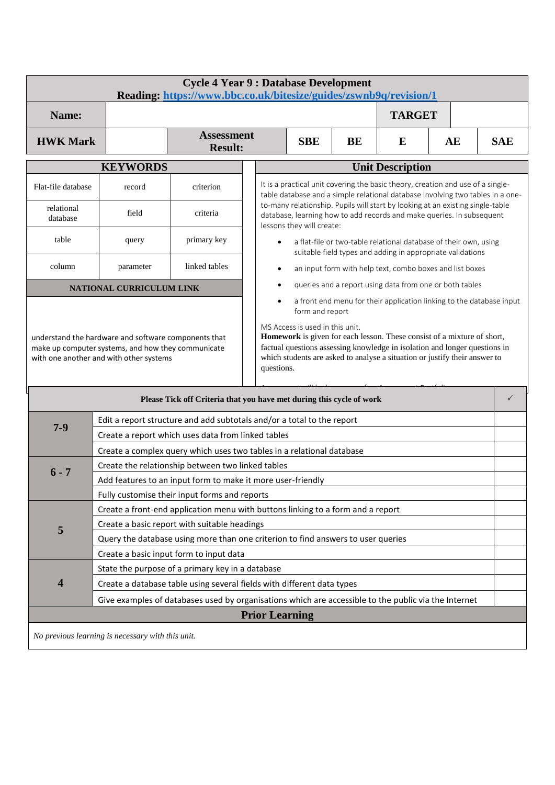|                                                                                                                                                                                                                                                                                                                                                                                                                                                                                                                                                                                                                                                                                                                                                             | <b>Cycle 4 Year 9 : Database Development</b><br>Reading: https://www.bbc.co.uk/bitesize/guides/zswnb9q/revision/1          |                                                                                  |                                                                                                                                                                                                                                                                                                                                                           |  |  |                                                                                                                                |    |            |  |
|-------------------------------------------------------------------------------------------------------------------------------------------------------------------------------------------------------------------------------------------------------------------------------------------------------------------------------------------------------------------------------------------------------------------------------------------------------------------------------------------------------------------------------------------------------------------------------------------------------------------------------------------------------------------------------------------------------------------------------------------------------------|----------------------------------------------------------------------------------------------------------------------------|----------------------------------------------------------------------------------|-----------------------------------------------------------------------------------------------------------------------------------------------------------------------------------------------------------------------------------------------------------------------------------------------------------------------------------------------------------|--|--|--------------------------------------------------------------------------------------------------------------------------------|----|------------|--|
| Name:                                                                                                                                                                                                                                                                                                                                                                                                                                                                                                                                                                                                                                                                                                                                                       |                                                                                                                            |                                                                                  |                                                                                                                                                                                                                                                                                                                                                           |  |  | <b>TARGET</b>                                                                                                                  |    |            |  |
| <b>HWK Mark</b>                                                                                                                                                                                                                                                                                                                                                                                                                                                                                                                                                                                                                                                                                                                                             |                                                                                                                            | <b>Assessment</b><br><b>Result:</b>                                              | <b>SBE</b><br>BE                                                                                                                                                                                                                                                                                                                                          |  |  | E                                                                                                                              | AE | <b>SAE</b> |  |
|                                                                                                                                                                                                                                                                                                                                                                                                                                                                                                                                                                                                                                                                                                                                                             |                                                                                                                            | <b>Unit Description</b>                                                          |                                                                                                                                                                                                                                                                                                                                                           |  |  |                                                                                                                                |    |            |  |
| Flat-file database                                                                                                                                                                                                                                                                                                                                                                                                                                                                                                                                                                                                                                                                                                                                          | record                                                                                                                     | criterion                                                                        | It is a practical unit covering the basic theory, creation and use of a single-<br>table database and a simple relational database involving two tables in a one-<br>to-many relationship. Pupils will start by looking at an existing single-table<br>database, learning how to add records and make queries. In subsequent<br>lessons they will create: |  |  |                                                                                                                                |    |            |  |
| relational<br>database                                                                                                                                                                                                                                                                                                                                                                                                                                                                                                                                                                                                                                                                                                                                      | field                                                                                                                      | criteria                                                                         |                                                                                                                                                                                                                                                                                                                                                           |  |  |                                                                                                                                |    |            |  |
| table                                                                                                                                                                                                                                                                                                                                                                                                                                                                                                                                                                                                                                                                                                                                                       | query                                                                                                                      | primary key                                                                      |                                                                                                                                                                                                                                                                                                                                                           |  |  | a flat-file or two-table relational database of their own, using<br>suitable field types and adding in appropriate validations |    |            |  |
| column                                                                                                                                                                                                                                                                                                                                                                                                                                                                                                                                                                                                                                                                                                                                                      | parameter                                                                                                                  | linked tables                                                                    |                                                                                                                                                                                                                                                                                                                                                           |  |  | an input form with help text, combo boxes and list boxes                                                                       |    |            |  |
|                                                                                                                                                                                                                                                                                                                                                                                                                                                                                                                                                                                                                                                                                                                                                             | NATIONAL CURRICULUM LINK                                                                                                   |                                                                                  |                                                                                                                                                                                                                                                                                                                                                           |  |  | queries and a report using data from one or both tables                                                                        |    |            |  |
| a front end menu for their application linking to the database input<br>form and report<br>MS Access is used in this unit.<br>Homework is given for each lesson. These consist of a mixture of short,<br>understand the hardware and software components that<br>factual questions assessing knowledge in isolation and longer questions in<br>make up computer systems, and how they communicate<br>which students are asked to analyse a situation or justify their answer to<br>with one another and with other systems<br>questions.<br>Please Tick off Criteria that you have met during this cycle of work<br>Edit a report structure and add subtotals and/or a total to the report<br>$7 - 9$<br>Create a report which uses data from linked tables |                                                                                                                            |                                                                                  |                                                                                                                                                                                                                                                                                                                                                           |  |  |                                                                                                                                | ✓  |            |  |
|                                                                                                                                                                                                                                                                                                                                                                                                                                                                                                                                                                                                                                                                                                                                                             | Create a complex query which uses two tables in a relational database<br>Create the relationship between two linked tables |                                                                                  |                                                                                                                                                                                                                                                                                                                                                           |  |  |                                                                                                                                |    |            |  |
| $6 - 7$                                                                                                                                                                                                                                                                                                                                                                                                                                                                                                                                                                                                                                                                                                                                                     |                                                                                                                            | Add features to an input form to make it more user-friendly                      |                                                                                                                                                                                                                                                                                                                                                           |  |  |                                                                                                                                |    |            |  |
|                                                                                                                                                                                                                                                                                                                                                                                                                                                                                                                                                                                                                                                                                                                                                             | Fully customise their input forms and reports                                                                              |                                                                                  |                                                                                                                                                                                                                                                                                                                                                           |  |  |                                                                                                                                |    |            |  |
|                                                                                                                                                                                                                                                                                                                                                                                                                                                                                                                                                                                                                                                                                                                                                             |                                                                                                                            | Create a front-end application menu with buttons linking to a form and a report  |                                                                                                                                                                                                                                                                                                                                                           |  |  |                                                                                                                                |    |            |  |
| 5                                                                                                                                                                                                                                                                                                                                                                                                                                                                                                                                                                                                                                                                                                                                                           |                                                                                                                            | Create a basic report with suitable headings                                     |                                                                                                                                                                                                                                                                                                                                                           |  |  |                                                                                                                                |    |            |  |
|                                                                                                                                                                                                                                                                                                                                                                                                                                                                                                                                                                                                                                                                                                                                                             |                                                                                                                            | Query the database using more than one criterion to find answers to user queries |                                                                                                                                                                                                                                                                                                                                                           |  |  |                                                                                                                                |    |            |  |
|                                                                                                                                                                                                                                                                                                                                                                                                                                                                                                                                                                                                                                                                                                                                                             | Create a basic input form to input data                                                                                    |                                                                                  |                                                                                                                                                                                                                                                                                                                                                           |  |  |                                                                                                                                |    |            |  |
|                                                                                                                                                                                                                                                                                                                                                                                                                                                                                                                                                                                                                                                                                                                                                             |                                                                                                                            | State the purpose of a primary key in a database                                 |                                                                                                                                                                                                                                                                                                                                                           |  |  |                                                                                                                                |    |            |  |
| 4                                                                                                                                                                                                                                                                                                                                                                                                                                                                                                                                                                                                                                                                                                                                                           |                                                                                                                            | Create a database table using several fields with different data types           |                                                                                                                                                                                                                                                                                                                                                           |  |  |                                                                                                                                |    |            |  |
|                                                                                                                                                                                                                                                                                                                                                                                                                                                                                                                                                                                                                                                                                                                                                             | Give examples of databases used by organisations which are accessible to the public via the Internet                       |                                                                                  |                                                                                                                                                                                                                                                                                                                                                           |  |  |                                                                                                                                |    |            |  |
|                                                                                                                                                                                                                                                                                                                                                                                                                                                                                                                                                                                                                                                                                                                                                             |                                                                                                                            |                                                                                  | <b>Prior Learning</b>                                                                                                                                                                                                                                                                                                                                     |  |  |                                                                                                                                |    |            |  |
| No previous learning is necessary with this unit.                                                                                                                                                                                                                                                                                                                                                                                                                                                                                                                                                                                                                                                                                                           |                                                                                                                            |                                                                                  |                                                                                                                                                                                                                                                                                                                                                           |  |  |                                                                                                                                |    |            |  |